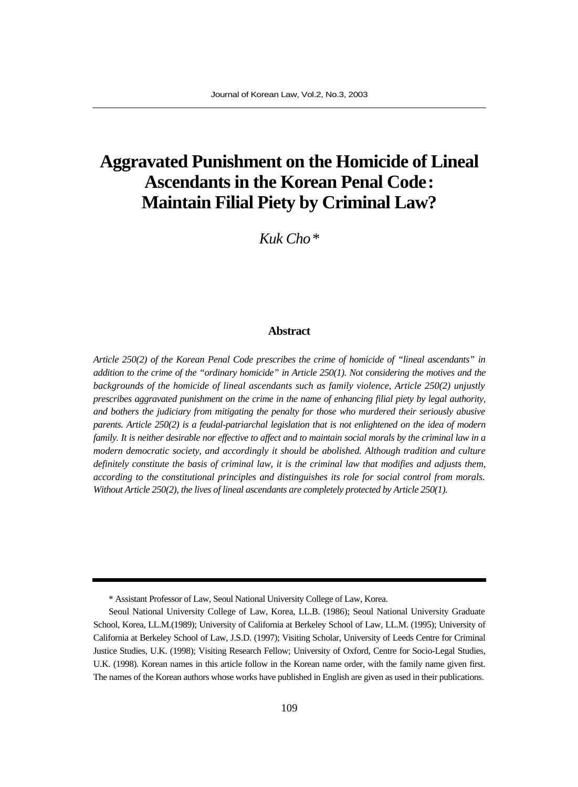# **Aggravated Punishment on the Homicide of Lineal Ascendants in the Korean Penal Code: Maintain Filial Piety by Criminal Law?**

*Kuk Cho\**

#### **Abstract**

*Article 250(2) of the Korean Penal Code prescribes the crime of homicide of "lineal ascendants" in addition to the crime of the "ordinary homicide" in Article 250(1). Not considering the motives and the backgrounds of the homicide of lineal ascendants such as family violence, Article 250(2) unjustly prescribes aggravated punishment on the crime in the name of enhancing filial piety by legal authority, and bothers the judiciary from mitigating the penalty for those who murdered their seriously abusive parents. Article 250(2) is a feudal-patriarchal legislation that is not enlightened on the idea of modern family. It is neither desirable nor effective to affect and to maintain social morals by the criminal law in a modern democratic society, and accordingly it should be abolished. Although tradition and culture definitely constitute the basis of criminal law, it is the criminal law that modifies and adjusts them, according to the constitutional principles and distinguishes its role for social control from morals. Without Article 250(2), the lives of lineal ascendants are completely protected by Article 250(1).*

<sup>\*</sup> Assistant Professor of Law, Seoul National University College of Law, Korea.

Seoul National University College of Law, Korea, LL.B. (1986); Seoul National University Graduate School, Korea, LL.M.(1989); University of California at Berkeley School of Law, LL.M. (1995); University of California at Berkeley School of Law, J.S.D. (1997); Visiting Scholar, University of Leeds Centre for Criminal Justice Studies, U.K. (1998); Visiting Research Fellow; University of Oxford, Centre for Socio-Legal Studies, U.K. (1998). Korean names in this article follow in the Korean name order, with the family name given first. The names of the Korean authors whose works have published in English are given as used in their publications.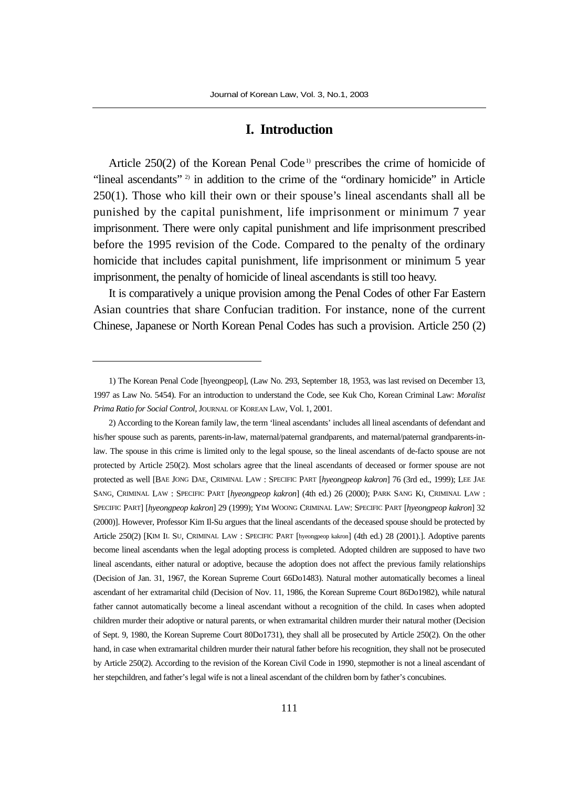### **I. Introduction**

Article 250(2) of the Korean Penal Code<sup> $\mu$ </sup> prescribes the crime of homicide of "lineal ascendants"<sup>2)</sup> in addition to the crime of the "ordinary homicide" in Article 250(1). Those who kill their own or their spouse's lineal ascendants shall all be punished by the capital punishment, life imprisonment or minimum 7 year imprisonment. There were only capital punishment and life imprisonment prescribed before the 1995 revision of the Code. Compared to the penalty of the ordinary homicide that includes capital punishment, life imprisonment or minimum 5 year imprisonment, the penalty of homicide of lineal ascendants is still too heavy.

It is comparatively a unique provision among the Penal Codes of other Far Eastern Asian countries that share Confucian tradition. For instance, none of the current Chinese, Japanese or North Korean Penal Codes has such a provision. Article 250 (2)

<sup>1)</sup> The Korean Penal Code [hyeongpeop], (Law No. 293, September 18, 1953, was last revised on December 13, 1997 as Law No. 5454). For an introduction to understand the Code, see Kuk Cho, Korean Criminal Law: *Moralist Prima Ratio for Social Control*, JOURNAL OF KOREAN LAW, Vol. 1, 2001.

<sup>2)</sup> According to the Korean family law, the term 'lineal ascendants' includes all lineal ascendants of defendant and his/her spouse such as parents, parents-in-law, maternal/paternal grandparents, and maternal/paternal grandparents-inlaw. The spouse in this crime is limited only to the legal spouse, so the lineal ascendants of de-facto spouse are not protected by Article 250(2). Most scholars agree that the lineal ascendants of deceased or former spouse are not protected as well [BAE JONG DAE, CRIMINAL LAW : SPECIFIC PART [*hyeongpeop kakron*] 76 (3rd ed., 1999); LEE JAE SANG, CRIMINAL LAW : SPECIFIC PART [*hyeongpeop kakron*] (4th ed.) 26 (2000); PARK SANG KI, CRIMINAL LAW : SPECIFIC PART] [*hyeongpeop kakron*] 29 (1999); YIM WOONG CRIMINAL LAW: SPECIFIC PART [*hyeongpeop kakron*] 32 (2000)]. However, Professor Kim Il-Su argues that the lineal ascendants of the deceased spouse should be protected by Article 250(2) [KIM IL SU, CRIMINAL LAW : SPECIFIC PART [hyeongpeop kakron] (4th ed.) 28 (2001).]. Adoptive parents become lineal ascendants when the legal adopting process is completed. Adopted children are supposed to have two lineal ascendants, either natural or adoptive, because the adoption does not affect the previous family relationships (Decision of Jan. 31, 1967, the Korean Supreme Court 66Do1483). Natural mother automatically becomes a lineal ascendant of her extramarital child (Decision of Nov. 11, 1986, the Korean Supreme Court 86Do1982), while natural father cannot automatically become a lineal ascendant without a recognition of the child. In cases when adopted children murder their adoptive or natural parents, or when extramarital children murder their natural mother (Decision of Sept. 9, 1980, the Korean Supreme Court 80Do1731), they shall all be prosecuted by Article 250(2). On the other hand, in case when extramarital children murder their natural father before his recognition, they shall not be prosecuted by Article 250(2). According to the revision of the Korean Civil Code in 1990, stepmother is not a lineal ascendant of her stepchildren, and father's legal wife is not a lineal ascendant of the children born by father's concubines.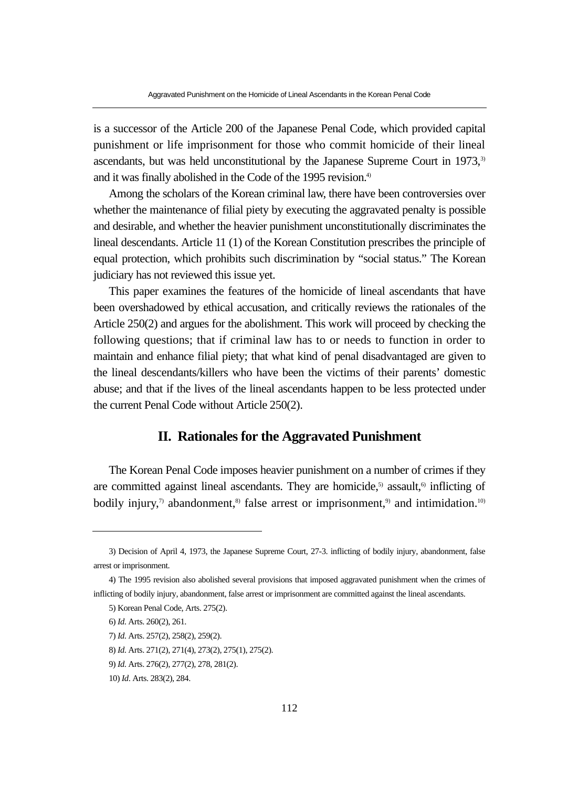is a successor of the Article 200 of the Japanese Penal Code, which provided capital punishment or life imprisonment for those who commit homicide of their lineal ascendants, but was held unconstitutional by the Japanese Supreme Court in 1973,<sup>3)</sup> and it was finally abolished in the Code of the 1995 revision.<sup>4)</sup>

Among the scholars of the Korean criminal law, there have been controversies over whether the maintenance of filial piety by executing the aggravated penalty is possible and desirable, and whether the heavier punishment unconstitutionally discriminates the lineal descendants. Article 11 (1) of the Korean Constitution prescribes the principle of equal protection, which prohibits such discrimination by "social status." The Korean judiciary has not reviewed this issue yet.

This paper examines the features of the homicide of lineal ascendants that have been overshadowed by ethical accusation, and critically reviews the rationales of the Article 250(2) and argues for the abolishment. This work will proceed by checking the following questions; that if criminal law has to or needs to function in order to maintain and enhance filial piety; that what kind of penal disadvantaged are given to the lineal descendants/killers who have been the victims of their parents' domestic abuse; and that if the lives of the lineal ascendants happen to be less protected under the current Penal Code without Article 250(2).

# **II. Rationales for the Aggravated Punishment**

The Korean Penal Code imposes heavier punishment on a number of crimes if they are committed against lineal ascendants. They are homicide, $5$  assault, $6$  inflicting of bodily injury, $\eta$  abandonment,<sup>8)</sup> false arrest or imprisonment,<sup>9)</sup> and intimidation.<sup>10)</sup>

8) *Id*. Arts. 271(2), 271(4), 273(2), 275(1), 275(2).

<sup>3)</sup> Decision of April 4, 1973, the Japanese Supreme Court, 27-3. inflicting of bodily injury, abandonment, false arrest or imprisonment.

<sup>4)</sup> The 1995 revision also abolished several provisions that imposed aggravated punishment when the crimes of inflicting of bodily injury, abandonment, false arrest or imprisonment are committed against the lineal ascendants.

<sup>5)</sup> Korean Penal Code, Arts. 275(2).

<sup>6)</sup> *Id*. Arts. 260(2), 261.

<sup>7)</sup> *Id*. Arts. 257(2), 258(2), 259(2).

<sup>9)</sup> *Id*. Arts. 276(2), 277(2), 278, 281(2).

<sup>10)</sup> *Id*. Arts. 283(2), 284.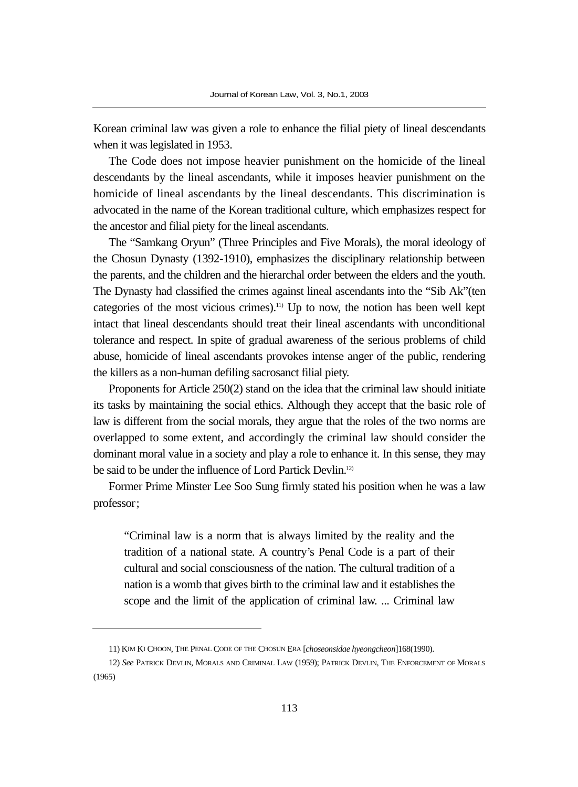Korean criminal law was given a role to enhance the filial piety of lineal descendants when it was legislated in 1953.

The Code does not impose heavier punishment on the homicide of the lineal descendants by the lineal ascendants, while it imposes heavier punishment on the homicide of lineal ascendants by the lineal descendants. This discrimination is advocated in the name of the Korean traditional culture, which emphasizes respect for the ancestor and filial piety for the lineal ascendants.

The "Samkang Oryun" (Three Principles and Five Morals), the moral ideology of the Chosun Dynasty (1392-1910), emphasizes the disciplinary relationship between the parents, and the children and the hierarchal order between the elders and the youth. The Dynasty had classified the crimes against lineal ascendants into the "Sib Ak"(ten categories of the most vicious crimes).11) Up to now, the notion has been well kept intact that lineal descendants should treat their lineal ascendants with unconditional tolerance and respect. In spite of gradual awareness of the serious problems of child abuse, homicide of lineal ascendants provokes intense anger of the public, rendering the killers as a non-human defiling sacrosanct filial piety.

Proponents for Article 250(2) stand on the idea that the criminal law should initiate its tasks by maintaining the social ethics. Although they accept that the basic role of law is different from the social morals, they argue that the roles of the two norms are overlapped to some extent, and accordingly the criminal law should consider the dominant moral value in a society and play a role to enhance it. In this sense, they may be said to be under the influence of Lord Partick Devlin.12)

Former Prime Minster Lee Soo Sung firmly stated his position when he was a law professor;

"Criminal law is a norm that is always limited by the reality and the tradition of a national state. A country's Penal Code is a part of their cultural and social consciousness of the nation. The cultural tradition of a nation is a womb that gives birth to the criminal law and it establishes the scope and the limit of the application of criminal law. ... Criminal law

<sup>11)</sup> KIM KI CHOON, THE PENAL CODE OF THE CHOSUN ERA [*choseonsidae hyeongcheon*]168(1990).

<sup>12)</sup> *See* PATRICK DEVLIN, MORALS AND CRIMINAL LAW (1959); PATRICK DEVLIN, THE ENFORCEMENT OF MORALS (1965)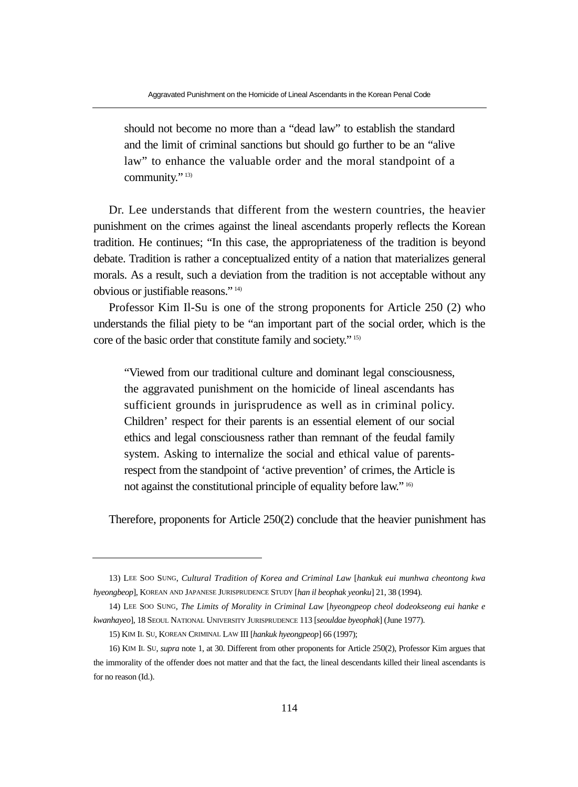should not become no more than a "dead law" to establish the standard and the limit of criminal sanctions but should go further to be an "alive law" to enhance the valuable order and the moral standpoint of a community."<sup>13)</sup>

Dr. Lee understands that different from the western countries, the heavier punishment on the crimes against the lineal ascendants properly reflects the Korean tradition. He continues; "In this case, the appropriateness of the tradition is beyond debate. Tradition is rather a conceptualized entity of a nation that materializes general morals. As a result, such a deviation from the tradition is not acceptable without any obvious or justifiable reasons." 14)

Professor Kim Il-Su is one of the strong proponents for Article 250 (2) who understands the filial piety to be "an important part of the social order, which is the core of the basic order that constitute family and society." 15)

"Viewed from our traditional culture and dominant legal consciousness, the aggravated punishment on the homicide of lineal ascendants has sufficient grounds in jurisprudence as well as in criminal policy. Children' respect for their parents is an essential element of our social ethics and legal consciousness rather than remnant of the feudal family system. Asking to internalize the social and ethical value of parentsrespect from the standpoint of 'active prevention' of crimes, the Article is not against the constitutional principle of equality before law." 16)

Therefore, proponents for Article 250(2) conclude that the heavier punishment has

<sup>13)</sup> LEE SOO SUNG, *Cultural Tradition of Korea and Criminal Law* [*hankuk eui munhwa cheontong kwa hyeongbeop*], KOREAN AND JAPANESE JURISPRUDENCE STUDY [*han il beophak yeonku*] 21, 38 (1994).

<sup>14)</sup> LEE SOO SUNG, *The Limits of Morality in Criminal Law* [*hyeongpeop cheol dodeokseong eui hanke e kwanhayeo*], 18 SEOUL NATIONAL UNIVERSITY JURISPRUDENCE 113 [*seouldae byeophak*] (June 1977).

<sup>15)</sup> KIM IL SU, KOREAN CRIMINAL LAW III [*hankuk hyeongpeop*] 66 (1997);

<sup>16)</sup> KIM IL SU, *supra* note 1, at 30. Different from other proponents for Article 250(2), Professor Kim argues that the immorality of the offender does not matter and that the fact, the lineal descendants killed their lineal ascendants is for no reason (Id.).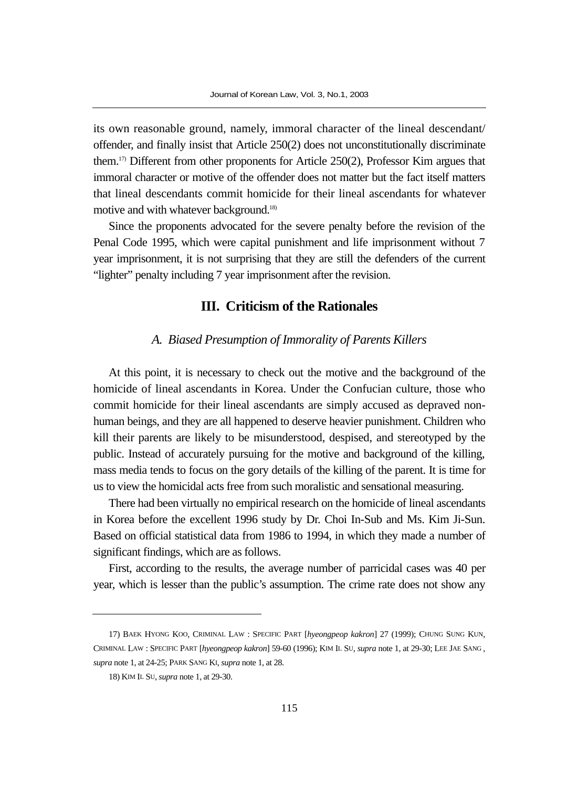its own reasonable ground, namely, immoral character of the lineal descendant/ offender, and finally insist that Article 250(2) does not unconstitutionally discriminate them.17) Different from other proponents for Article 250(2), Professor Kim argues that immoral character or motive of the offender does not matter but the fact itself matters that lineal descendants commit homicide for their lineal ascendants for whatever motive and with whatever background.18)

Since the proponents advocated for the severe penalty before the revision of the Penal Code 1995, which were capital punishment and life imprisonment without 7 year imprisonment, it is not surprising that they are still the defenders of the current "lighter" penalty including 7 year imprisonment after the revision.

## **III. Criticism of the Rationales**

#### *A. Biased Presumption of Immorality of Parents Killers*

At this point, it is necessary to check out the motive and the background of the homicide of lineal ascendants in Korea. Under the Confucian culture, those who commit homicide for their lineal ascendants are simply accused as depraved nonhuman beings, and they are all happened to deserve heavier punishment. Children who kill their parents are likely to be misunderstood, despised, and stereotyped by the public. Instead of accurately pursuing for the motive and background of the killing, mass media tends to focus on the gory details of the killing of the parent. It is time for us to view the homicidal acts free from such moralistic and sensational measuring.

There had been virtually no empirical research on the homicide of lineal ascendants in Korea before the excellent 1996 study by Dr. Choi In-Sub and Ms. Kim Ji-Sun. Based on official statistical data from 1986 to 1994, in which they made a number of significant findings, which are as follows.

First, according to the results, the average number of parricidal cases was 40 per year, which is lesser than the public's assumption. The crime rate does not show any

<sup>17)</sup> BAEK HYONG KOO, CRIMINAL LAW : SPECIFIC PART [*hyeongpeop kakron*] 27 (1999); CHUNG SUNG KUN, CRIMINAL LAW : SPECIFIC PART [*hyeongpeop kakron*] 59-60 (1996); KIM IL SU, *supra* note 1, at 29-30; LEE JAE SANG , *supra* note 1, at 24-25; PARK SANG KI, *supra* note 1, at 28.

<sup>18)</sup> KIM IL SU, *supra* note 1, at 29-30.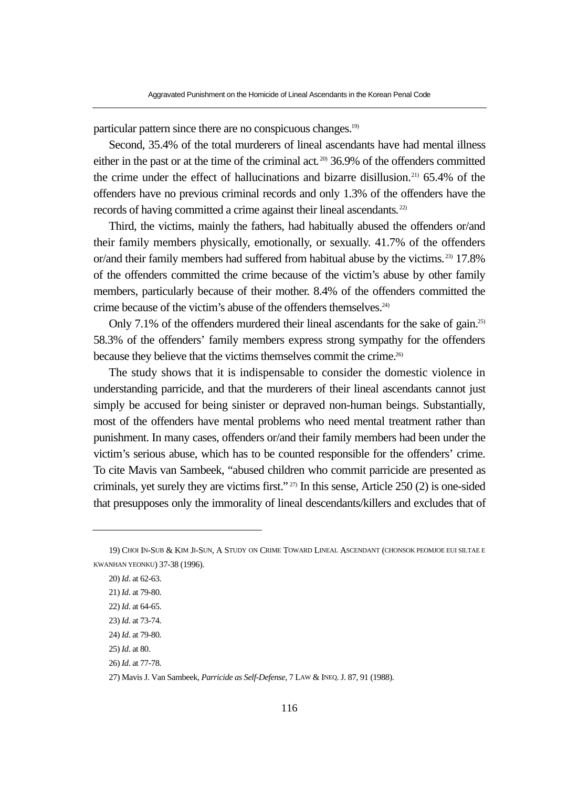particular pattern since there are no conspicuous changes.19)

Second, 35.4% of the total murderers of lineal ascendants have had mental illness either in the past or at the time of the criminal act.<sup>200</sup> 36.9% of the offenders committed the crime under the effect of hallucinations and bizarre disillusion.21) 65.4% of the offenders have no previous criminal records and only 1.3% of the offenders have the records of having committed a crime against their lineal ascendants. 22)

Third, the victims, mainly the fathers, had habitually abused the offenders or/and their family members physically, emotionally, or sexually. 41.7% of the offenders or/and their family members had suffered from habitual abuse by the victims. 23) 17.8% of the offenders committed the crime because of the victim's abuse by other family members, particularly because of their mother. 8.4% of the offenders committed the crime because of the victim's abuse of the offenders themselves.24)

Only 7.1% of the offenders murdered their lineal ascendants for the sake of gain.<sup>25)</sup> 58.3% of the offenders' family members express strong sympathy for the offenders because they believe that the victims themselves commit the crime.<sup>26)</sup>

The study shows that it is indispensable to consider the domestic violence in understanding parricide, and that the murderers of their lineal ascendants cannot just simply be accused for being sinister or depraved non-human beings. Substantially, most of the offenders have mental problems who need mental treatment rather than punishment. In many cases, offenders or/and their family members had been under the victim's serious abuse, which has to be counted responsible for the offenders' crime. To cite Mavis van Sambeek, "abused children who commit parricide are presented as criminals, yet surely they are victims first." 27) In this sense, Article 250 (2) is one-sided that presupposes only the immorality of lineal descendants/killers and excludes that of

26) *Id*. at 77-78.

<sup>19)</sup> CHOI IN-SUB & KIM JI-SUN, A STUDY ON CRIME TOWARD LINEAL ASCENDANT (CHONSOK PEOMJOE EUI SILTAE E KWANHAN YEONKU) 37-38 (1996).

<sup>20)</sup> *Id*. at 62-63.

<sup>21)</sup> *Id*. at 79-80.

<sup>22)</sup> *Id*. at 64-65.

<sup>23)</sup> *Id*. at 73-74.

<sup>24)</sup> *Id*. at 79-80.

<sup>25)</sup> *Id*. at 80.

<sup>27)</sup> Mavis J. Van Sambeek, *Parricide as Self-Defense*, 7 LAW & INEQ. J. 87, 91 (1988).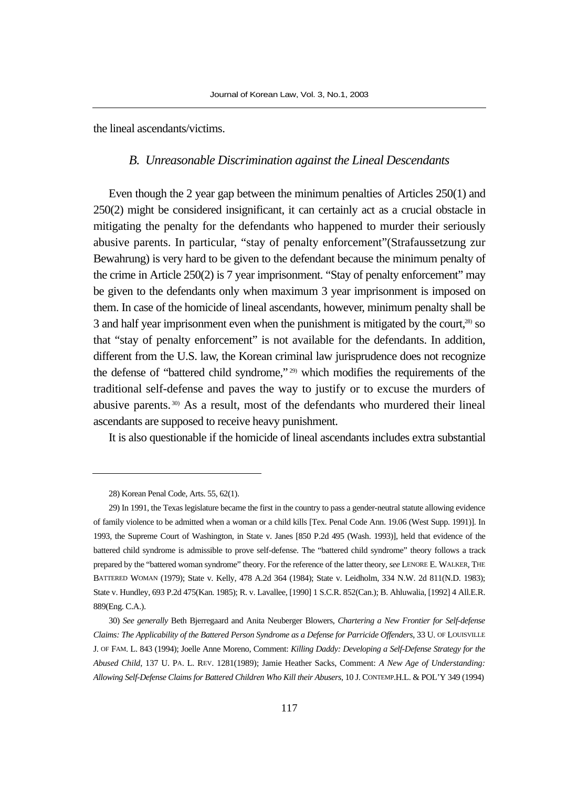the lineal ascendants/victims.

#### *B. Unreasonable Discrimination against the Lineal Descendants*

Even though the 2 year gap between the minimum penalties of Articles 250(1) and 250(2) might be considered insignificant, it can certainly act as a crucial obstacle in mitigating the penalty for the defendants who happened to murder their seriously abusive parents. In particular, "stay of penalty enforcement"(Strafaussetzung zur Bewahrung) is very hard to be given to the defendant because the minimum penalty of the crime in Article 250(2) is 7 year imprisonment. "Stay of penalty enforcement" may be given to the defendants only when maximum 3 year imprisonment is imposed on them. In case of the homicide of lineal ascendants, however, minimum penalty shall be 3 and half year imprisonment even when the punishment is mitigated by the court,28) so that "stay of penalty enforcement" is not available for the defendants. In addition, different from the U.S. law, the Korean criminal law jurisprudence does not recognize the defense of "battered child syndrome," 29) which modifies the requirements of the traditional self-defense and paves the way to justify or to excuse the murders of abusive parents. 30) As a result, most of the defendants who murdered their lineal ascendants are supposed to receive heavy punishment.

It is also questionable if the homicide of lineal ascendants includes extra substantial

<sup>28)</sup> Korean Penal Code, Arts. 55, 62(1).

<sup>29)</sup> In 1991, the Texas legislature became the first in the country to pass a gender-neutral statute allowing evidence of family violence to be admitted when a woman or a child kills [Tex. Penal Code Ann. 19.06 (West Supp. 1991)]. In 1993, the Supreme Court of Washington, in State v. Janes [850 P.2d 495 (Wash. 1993)], held that evidence of the battered child syndrome is admissible to prove self-defense. The "battered child syndrome" theory follows a track prepared by the "battered woman syndrome" theory. For the reference of the latter theory, *see* LENORE E. WALKER, THE BATTERED WOMAN (1979); State v. Kelly, 478 A.2d 364 (1984); State v. Leidholm, 334 N.W. 2d 811(N.D. 1983); State v. Hundley, 693 P.2d 475(Kan. 1985); R. v. Lavallee, [1990] 1 S.C.R. 852(Can.); B. Ahluwalia, [1992] 4 All.E.R. 889(Eng. C.A.).

<sup>30)</sup> *See generally* Beth Bjerregaard and Anita Neuberger Blowers, *Chartering a New Frontier for Self-defense Claims: The Applicability of the Battered Person Syndrome as a Defense for Parricide Offenders*, 33 U. OF LOUISVILLE J. OF FAM. L. 843 (1994); Joelle Anne Moreno, Comment: *Killing Daddy: Developing a Self-Defense Strategy for the Abused Child*, 137 U. PA. L. REV. 1281(1989); Jamie Heather Sacks, Comment: *A New Age of Understanding: Allowing Self-Defense Claims for Battered Children Who Kill their Abusers*, 10 J. CONTEMP.H.L. & POL'Y 349 (1994)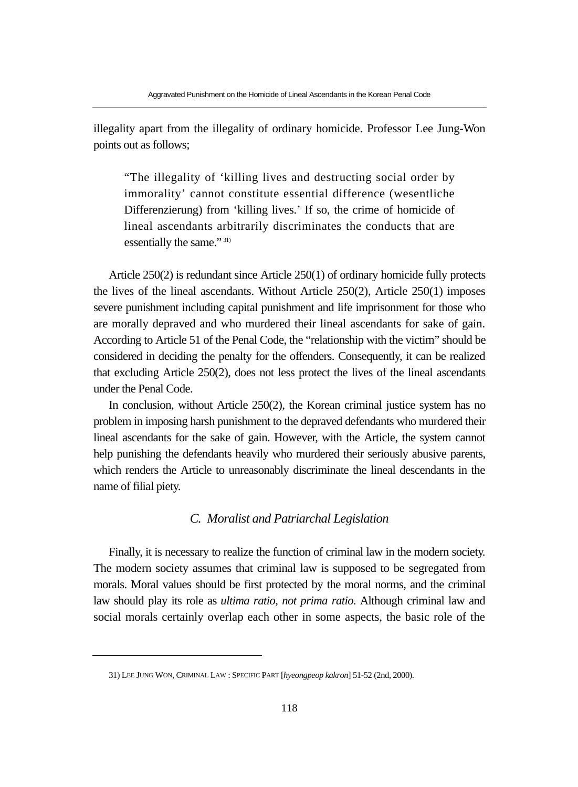illegality apart from the illegality of ordinary homicide. Professor Lee Jung-Won points out as follows;

"The illegality of 'killing lives and destructing social order by immorality' cannot constitute essential difference (wesentliche Differenzierung) from 'killing lives.' If so, the crime of homicide of lineal ascendants arbitrarily discriminates the conducts that are essentially the same." 31)

Article 250(2) is redundant since Article 250(1) of ordinary homicide fully protects the lives of the lineal ascendants. Without Article 250(2), Article 250(1) imposes severe punishment including capital punishment and life imprisonment for those who are morally depraved and who murdered their lineal ascendants for sake of gain. According to Article 51 of the Penal Code, the "relationship with the victim" should be considered in deciding the penalty for the offenders. Consequently, it can be realized that excluding Article 250(2), does not less protect the lives of the lineal ascendants under the Penal Code.

In conclusion, without Article 250(2), the Korean criminal justice system has no problem in imposing harsh punishment to the depraved defendants who murdered their lineal ascendants for the sake of gain. However, with the Article, the system cannot help punishing the defendants heavily who murdered their seriously abusive parents, which renders the Article to unreasonably discriminate the lineal descendants in the name of filial piety.

## *C. Moralist and Patriarchal Legislation*

Finally, it is necessary to realize the function of criminal law in the modern society. The modern society assumes that criminal law is supposed to be segregated from morals. Moral values should be first protected by the moral norms, and the criminal law should play its role as *ultima ratio, not prima ratio*. Although criminal law and social morals certainly overlap each other in some aspects, the basic role of the

<sup>31)</sup> LEE JUNG WON, CRIMINAL LAW : SPECIFIC PART [*hyeongpeop kakron*] 51-52 (2nd, 2000).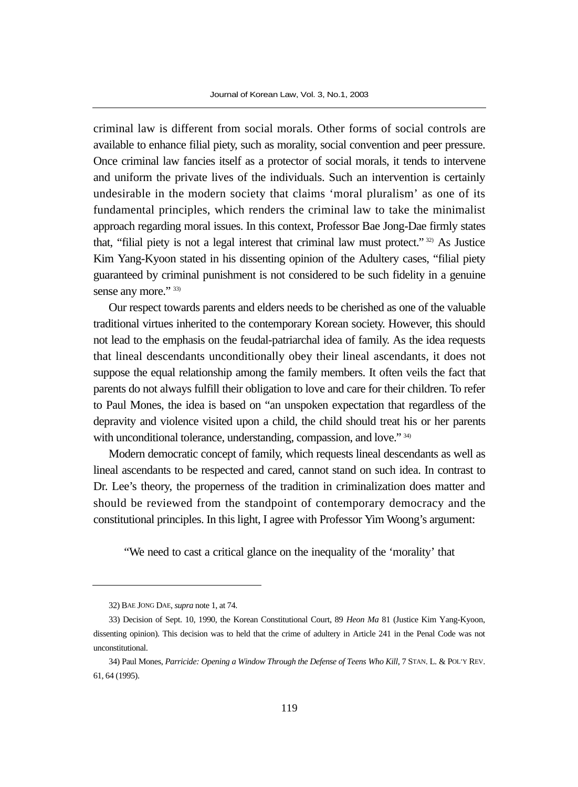criminal law is different from social morals. Other forms of social controls are available to enhance filial piety, such as morality, social convention and peer pressure. Once criminal law fancies itself as a protector of social morals, it tends to intervene and uniform the private lives of the individuals. Such an intervention is certainly undesirable in the modern society that claims 'moral pluralism' as one of its fundamental principles, which renders the criminal law to take the minimalist approach regarding moral issues. In this context, Professor Bae Jong-Dae firmly states that, "filial piety is not a legal interest that criminal law must protect." 32) As Justice Kim Yang-Kyoon stated in his dissenting opinion of the Adultery cases, "filial piety guaranteed by criminal punishment is not considered to be such fidelity in a genuine sense any more." 33)

Our respect towards parents and elders needs to be cherished as one of the valuable traditional virtues inherited to the contemporary Korean society. However, this should not lead to the emphasis on the feudal-patriarchal idea of family. As the idea requests that lineal descendants unconditionally obey their lineal ascendants, it does not suppose the equal relationship among the family members. It often veils the fact that parents do not always fulfill their obligation to love and care for their children. To refer to Paul Mones, the idea is based on "an unspoken expectation that regardless of the depravity and violence visited upon a child, the child should treat his or her parents with unconditional tolerance, understanding, compassion, and love." 34)

Modern democratic concept of family, which requests lineal descendants as well as lineal ascendants to be respected and cared, cannot stand on such idea. In contrast to Dr. Lee's theory, the properness of the tradition in criminalization does matter and should be reviewed from the standpoint of contemporary democracy and the constitutional principles. In this light, I agree with Professor Yim Woong's argument:

"We need to cast a critical glance on the inequality of the 'morality' that

<sup>32)</sup> BAE JONG DAE, *supra* note 1, at 74.

<sup>33)</sup> Decision of Sept. 10, 1990, the Korean Constitutional Court, 89 *Heon Ma* 81 (Justice Kim Yang-Kyoon, dissenting opinion). This decision was to held that the crime of adultery in Article 241 in the Penal Code was not unconstitutional.

<sup>34)</sup> Paul Mones, *Parricide: Opening a Window Through the Defense of Teens Who Kill*, 7 STAN. L. & POL'Y REV. 61, 64 (1995).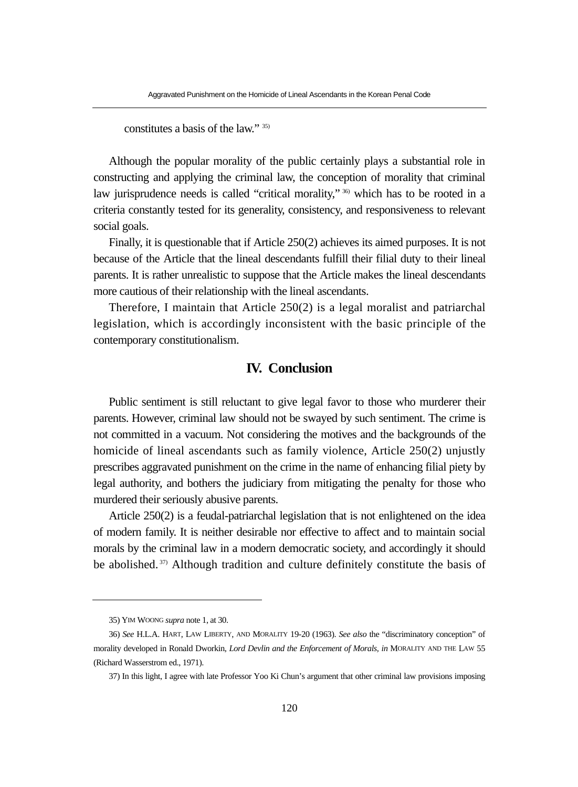constitutes a basis of the law." 35)

Although the popular morality of the public certainly plays a substantial role in constructing and applying the criminal law, the conception of morality that criminal law jurisprudence needs is called "critical morality,"  $\frac{36}{10}$  which has to be rooted in a criteria constantly tested for its generality, consistency, and responsiveness to relevant social goals.

Finally, it is questionable that if Article 250(2) achieves its aimed purposes. It is not because of the Article that the lineal descendants fulfill their filial duty to their lineal parents. It is rather unrealistic to suppose that the Article makes the lineal descendants more cautious of their relationship with the lineal ascendants.

Therefore, I maintain that Article 250(2) is a legal moralist and patriarchal legislation, which is accordingly inconsistent with the basic principle of the contemporary constitutionalism.

# **IV. Conclusion**

Public sentiment is still reluctant to give legal favor to those who murderer their parents. However, criminal law should not be swayed by such sentiment. The crime is not committed in a vacuum. Not considering the motives and the backgrounds of the homicide of lineal ascendants such as family violence, Article 250(2) unjustly prescribes aggravated punishment on the crime in the name of enhancing filial piety by legal authority, and bothers the judiciary from mitigating the penalty for those who murdered their seriously abusive parents.

Article 250(2) is a feudal-patriarchal legislation that is not enlightened on the idea of modern family. It is neither desirable nor effective to affect and to maintain social morals by the criminal law in a modern democratic society, and accordingly it should be abolished. 37) Although tradition and culture definitely constitute the basis of

<sup>35)</sup> YIM WOONG *supra* note 1, at 30.

<sup>36)</sup> *See* H.L.A. HART, LAW LIBERTY, AND MORALITY 19-20 (1963). *See also* the "discriminatory conception" of morality developed in Ronald Dworkin, *Lord Devlin and the Enforcement of Morals, in* MORALITY AND THE LAW 55 (Richard Wasserstrom ed., 1971).

<sup>37)</sup> In this light, I agree with late Professor Yoo Ki Chun's argument that other criminal law provisions imposing